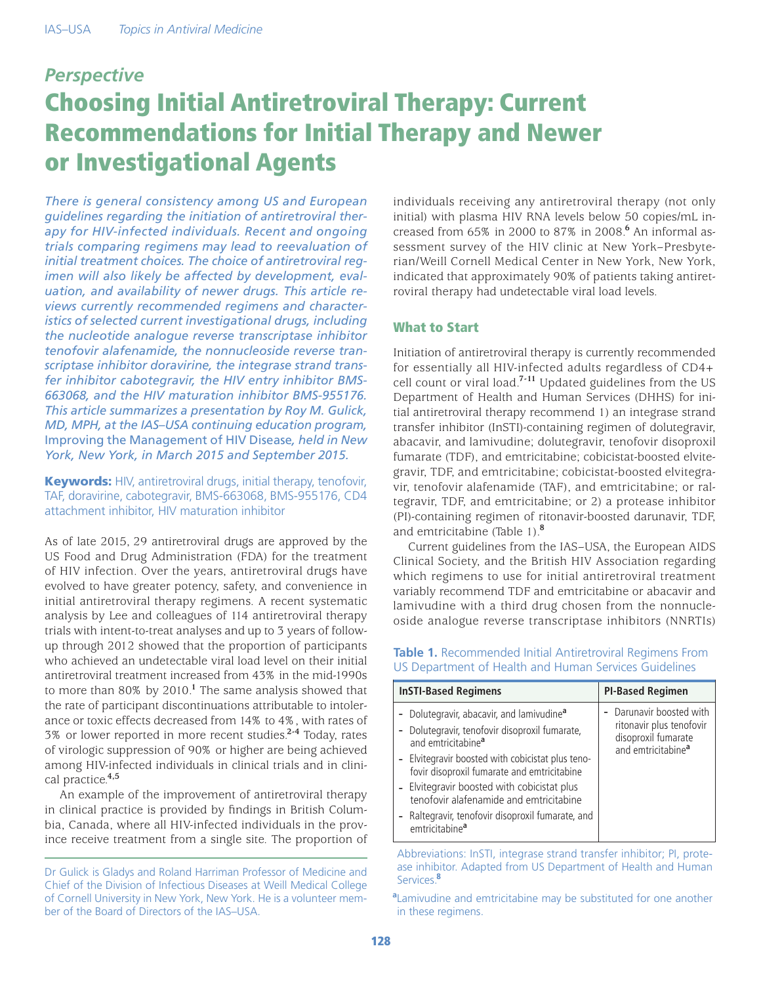# *Perspective* Choosing Initial Antiretroviral Therapy: Current Recommendations for Initial Therapy and Newer or Investigational Agents

*There is general consistency among US and European guidelines regarding the initiation of antiretroviral therapy for HIV-infected individuals. Recent and ongoing trials comparing regimens may lead to reevaluation of initial treatment choices. The choice of antiretroviral regimen will also likely be affected by development, evaluation, and availability of newer drugs. This article reviews currently recommended regimens and characteristics of selected current investigational drugs, including the nucleotide analogue reverse transcriptase inhibitor tenofovir alafenamide, the nonnucleoside reverse transcriptase inhibitor doravirine, the integrase strand transfer inhibitor cabotegravir, the HIV entry inhibitor BMS-663068, and the HIV maturation inhibitor BMS-955176. This article summarizes a presentation by Roy M. Gulick, MD, MPH, at the IAS–USA continuing education program,* Improving the Management of HIV Disease*, held in New York, New York, in March 2015 and September 2015.*

Keywords: HIV, antiretroviral drugs, initial therapy, tenofovir, TAF, doravirine, cabotegravir, BMS-663068, BMS-955176, CD4 attachment inhibitor, HIV maturation inhibitor

As of late 2015, 29 antiretroviral drugs are approved by the US Food and Drug Administration (FDA) for the treatment of HIV infection. Over the years, antiretroviral drugs have evolved to have greater potency, safety, and convenience in initial antiretroviral therapy regimens. A recent systematic analysis by Lee and colleagues of 114 antiretroviral therapy trials with intent-to-treat analyses and up to 3 years of followup through 2012 showed that the proportion of participants who achieved an undetectable viral load level on their initial antiretroviral treatment increased from 43% in the mid-1990s to more than 80% by 2010.**<sup>1</sup>** The same analysis showed that the rate of participant discontinuations attributable to intolerance or toxic effects decreased from 14% to 4%, with rates of 3% or lower reported in more recent studies.**2-4** Today, rates of virologic suppression of 90% or higher are being achieved among HIV-infected individuals in clinical trials and in clinical practice.**4,5**

An example of the improvement of antiretroviral therapy in clinical practice is provided by findings in British Columbia, Canada, where all HIV-infected individuals in the province receive treatment from a single site. The proportion of individuals receiving any antiretroviral therapy (not only initial) with plasma HIV RNA levels below 50 copies/mL increased from 65% in 2000 to 87% in 2008.**<sup>6</sup>** An informal assessment survey of the HIV clinic at New York–Presbyterian/Weill Cornell Medical Center in New York, New York, indicated that approximately 90% of patients taking antiretroviral therapy had undetectable viral load levels.

# What to Start

Initiation of antiretroviral therapy is currently recommended for essentially all HIV-infected adults regardless of CD4+ cell count or viral load.**7-11** Updated guidelines from the US Department of Health and Human Services (DHHS) for initial antiretroviral therapy recommend 1) an integrase strand transfer inhibitor (InSTI)-containing regimen of dolutegravir, abacavir, and lamivudine; dolutegravir, tenofovir disoproxil fumarate (TDF), and emtricitabine; cobicistat-boosted elvitegravir, TDF, and emtricitabine; cobicistat-boosted elvitegravir, tenofovir alafenamide (TAF), and emtricitabine; or raltegravir, TDF, and emtricitabine; or 2) a protease inhibitor (PI)-containing regimen of ritonavir-boosted darunavir, TDF, and emtricitabine (Table 1).**<sup>8</sup>**

Current guidelines from the IAS–USA, the European AIDS Clinical Society, and the British HIV Association regarding which regimens to use for initial antiretroviral treatment variably recommend TDF and emtricitabine or abacavir and lamivudine with a third drug chosen from the nonnucleoside analogue reverse transcriptase inhibitors (NNRTIs)

## **Table 1.** Recommended Initial Antiretroviral Regimens From US Department of Health and Human Services Guidelines

| <b>InSTI-Based Regimens</b>                                                                                                               | <b>PI-Based Regimen</b>                                                                                       |
|-------------------------------------------------------------------------------------------------------------------------------------------|---------------------------------------------------------------------------------------------------------------|
| - Dolutegravir, abacavir, and lamivudine <sup>a</sup><br>- Dolutegravir, tenofovir disoproxil fumarate,<br>and emtricitabine <sup>a</sup> | - Darunavir boosted with<br>ritonavir plus tenofovir<br>disoproxil fumarate<br>and emtricitabine <sup>a</sup> |
| - Elvitegravir boosted with cobicistat plus teno-<br>fovir disoproxil fumarate and emtricitabine                                          |                                                                                                               |
| - Elvitegravir boosted with cobicistat plus<br>tenofovir alafenamide and emtricitabine                                                    |                                                                                                               |
| - Raltegravir, tenofovir disoproxil fumarate, and<br>emtricitabine <sup>a</sup>                                                           |                                                                                                               |

Abbreviations: InSTI, integrase strand transfer inhibitor; PI, protease inhibitor. Adapted from US Department of Health and Human Services.**<sup>8</sup>**

**a** Lamivudine and emtricitabine may be substituted for one another in these regimens.

Dr Gulick is Gladys and Roland Harriman Professor of Medicine and Chief of the Division of Infectious Diseases at Weill Medical College of Cornell University in New York, New York. He is a volunteer member of the Board of Directors of the IAS–USA.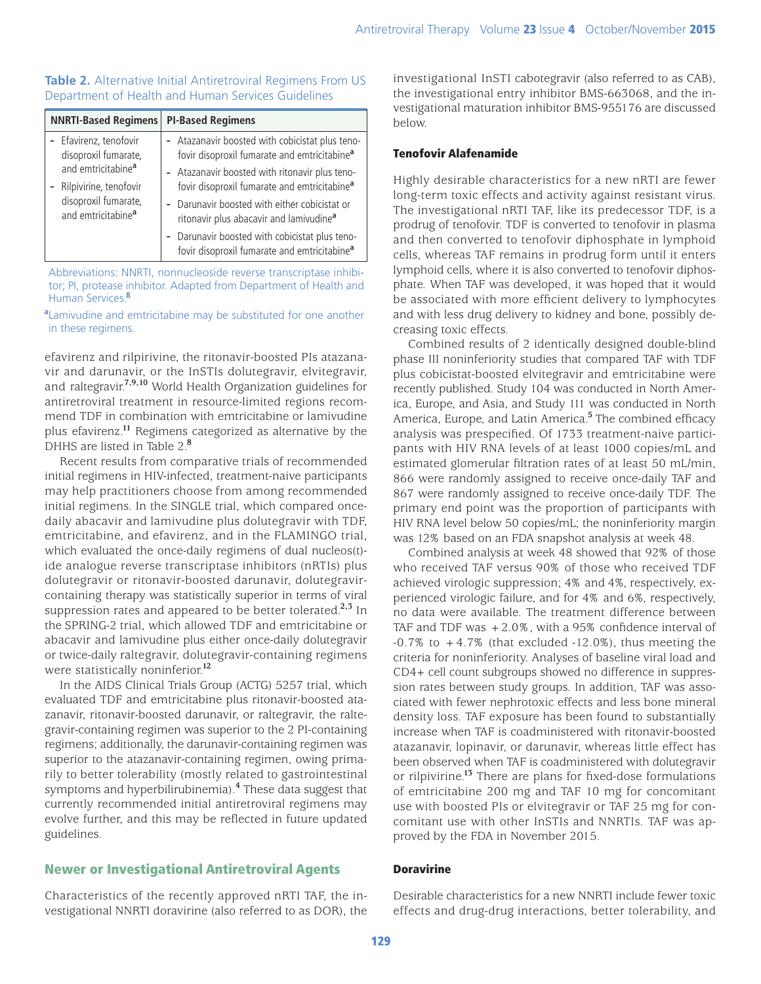### **Table 2.** Alternative Initial Antiretroviral Regimens From US Department of Health and Human Services Guidelines

| <b>NNRTI-Based Regimens</b>    | <b>PI-Based Regimens</b>                                                                                   |
|--------------------------------|------------------------------------------------------------------------------------------------------------|
| - Efavirenz, tenofovir         | - Atazanavir boosted with cobicistat plus teno-                                                            |
| disoproxil fumarate,           | fovir disoproxil fumarate and emtricitabine <sup>a</sup>                                                   |
| and emtricitabine <sup>a</sup> | - Atazanavir boosted with ritonavir plus teno-                                                             |
| Rilpivirine, tenofovir         | fovir disoproxil fumarate and emtricitabine <sup>a</sup>                                                   |
| disoproxil fumarate,           | - Darunavir boosted with either cobicistat or                                                              |
| and emtricitabine <sup>a</sup> | ritonavir plus abacavir and lamivudine <sup>a</sup>                                                        |
|                                | - Darunavir boosted with cobicistat plus teno-<br>fovir disoproxil fumarate and emtricitabine <sup>a</sup> |

Abbreviations: NNRTI, nonnucleoside reverse transcriptase inhibitor; PI, protease inhibitor. Adapted from Department of Health and Human Services.**<sup>8</sup>**

**a** Lamivudine and emtricitabine may be substituted for one another in these regimens.

efavirenz and rilpirivine, the ritonavir-boosted PIs atazanavir and darunavir, or the InSTIs dolutegravir, elvitegravir, and raltegravir.**7,9,10** World Health Organization guidelines for antiretroviral treatment in resource-limited regions recommend TDF in combination with emtricitabine or lamivudine plus efavirenz.**<sup>11</sup>** Regimens categorized as alternative by the DHHS are listed in Table 2.**<sup>8</sup>**

Recent results from comparative trials of recommended initial regimens in HIV-infected, treatment-naive participants may help practitioners choose from among recommended initial regimens. In the SINGLE trial, which compared oncedaily abacavir and lamivudine plus dolutegravir with TDF, emtricitabine, and efavirenz, and in the FLAMINGO trial, which evaluated the once-daily regimens of dual nucleos(t)ide analogue reverse transcriptase inhibitors (nRTIs) plus dolutegravir or ritonavir-boosted darunavir, dolutegravircontaining therapy was statistically superior in terms of viral suppression rates and appeared to be better tolerated.**2,3** In the SPRING-2 trial, which allowed TDF and emtricitabine or abacavir and lamivudine plus either once-daily dolutegravir or twice-daily raltegravir, dolutegravir-containing regimens were statistically noninferior.**<sup>12</sup>**

In the AIDS Clinical Trials Group (ACTG) 5257 trial, which evaluated TDF and emtricitabine plus ritonavir-boosted atazanavir, ritonavir-boosted darunavir, or raltegravir, the raltegravir-containing regimen was superior to the 2 PI-containing regimens; additionally, the darunavir-containing regimen was superior to the atazanavir-containing regimen, owing primarily to better tolerability (mostly related to gastrointestinal symptoms and hyperbilirubinemia).**<sup>4</sup>** These data suggest that currently recommended initial antiretroviral regimens may evolve further, and this may be reflected in future updated guidelines.

## Newer or Investigational Antiretroviral Agents

Characteristics of the recently approved nRTI TAF, the investigational NNRTI doravirine (also referred to as DOR), the investigational InSTI cabotegravir (also referred to as CAB), the investigational entry inhibitor BMS-663068, and the investigational maturation inhibitor BMS-955176 are discussed below.

#### Tenofovir Alafenamide

Highly desirable characteristics for a new nRTI are fewer long-term toxic effects and activity against resistant virus. The investigational nRTI TAF, like its predecessor TDF, is a prodrug of tenofovir. TDF is converted to tenofovir in plasma and then converted to tenofovir diphosphate in lymphoid cells, whereas TAF remains in prodrug form until it enters lymphoid cells, where it is also converted to tenofovir diphosphate. When TAF was developed, it was hoped that it would be associated with more efficient delivery to lymphocytes and with less drug delivery to kidney and bone, possibly decreasing toxic effects.

Combined results of 2 identically designed double-blind phase III noninferiority studies that compared TAF with TDF plus cobicistat-boosted elvitegravir and emtricitabine were recently published. Study 104 was conducted in North America, Europe, and Asia, and Study 111 was conducted in North America, Europe, and Latin America.**<sup>5</sup>** The combined efficacy analysis was prespecified. Of 1733 treatment-naive participants with HIV RNA levels of at least 1000 copies/mL and estimated glomerular filtration rates of at least 50 mL/min, 866 were randomly assigned to receive once-daily TAF and 867 were randomly assigned to receive once-daily TDF. The primary end point was the proportion of participants with HIV RNA level below 50 copies/mL; the noninferiority margin was 12% based on an FDA snapshot analysis at week 48.

Combined analysis at week 48 showed that 92% of those who received TAF versus 90% of those who received TDF achieved virologic suppression; 4% and 4%, respectively, experienced virologic failure, and for 4% and 6%, respectively, no data were available. The treatment difference between TAF and TDF was  $+2.0\%$ , with a 95% confidence interval of  $-0.7\%$  to  $+4.7\%$  (that excluded  $-12.0\%$ ), thus meeting the criteria for noninferiority. Analyses of baseline viral load and CD4+ cell count subgroups showed no difference in suppression rates between study groups. In addition, TAF was associated with fewer nephrotoxic effects and less bone mineral density loss. TAF exposure has been found to substantially increase when TAF is coadministered with ritonavir-boosted atazanavir, lopinavir, or darunavir, whereas little effect has been observed when TAF is coadministered with dolutegravir or rilpivirine.**<sup>13</sup>** There are plans for fixed-dose formulations of emtricitabine 200 mg and TAF 10 mg for concomitant use with boosted PIs or elvitegravir or TAF 25 mg for concomitant use with other InSTIs and NNRTIs. TAF was approved by the FDA in November 2015.

#### **Doravirine**

Desirable characteristics for a new NNRTI include fewer toxic effects and drug-drug interactions, better tolerability, and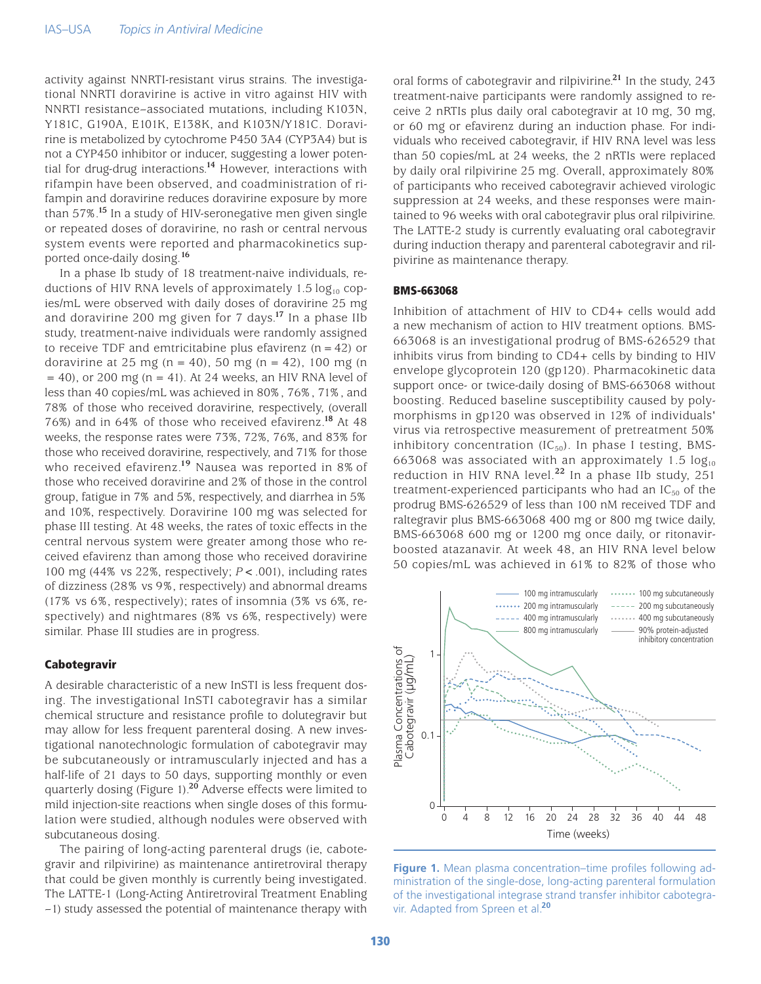activity against NNRTI-resistant virus strains. The investigational NNRTI doravirine is active in vitro against HIV with NNRTI resistance–associated mutations, including K103N, Y181C, G190A, E101K, E138K, and K103N/Y181C. Doravirine is metabolized by cytochrome P450 3A4 (CYP3A4) but is not a CYP450 inhibitor or inducer, suggesting a lower potential for drug-drug interactions.**<sup>14</sup>** However, interactions with rifampin have been observed, and coadministration of rifampin and doravirine reduces doravirine exposure by more than 57%.**<sup>15</sup>** In a study of HIV-seronegative men given single or repeated doses of doravirine, no rash or central nervous system events were reported and pharmacokinetics supported once-daily dosing.**<sup>16</sup>**

In a phase Ib study of 18 treatment-naive individuals, reductions of HIV RNA levels of approximately 1.5  $log_{10}$  copies/mL were observed with daily doses of doravirine 25 mg and doravirine 200 mg given for 7 days.**<sup>17</sup>** In a phase IIb study, treatment-naive individuals were randomly assigned to receive TDF and emtricitabine plus efavirenz  $(n = 42)$  or doravirine at 25 mg (n = 40), 50 mg (n = 42), 100 mg (n  $= 40$ ), or 200 mg (n  $= 41$ ). At 24 weeks, an HIV RNA level of less than 40 copies/mL was achieved in 80%, 76%, 71%, and 78% of those who received doravirine, respectively, (overall 76%) and in 64% of those who received efavirenz.**<sup>18</sup>** At 48 weeks, the response rates were 73%, 72%, 76%, and 83% for those who received doravirine, respectively, and 71% for those who received efavirenz.**<sup>19</sup>** Nausea was reported in 8% of those who received doravirine and 2% of those in the control group, fatigue in 7% and 5%, respectively, and diarrhea in 5% and 10%, respectively. Doravirine 100 mg was selected for phase III testing. At 48 weeks, the rates of toxic effects in the central nervous system were greater among those who received efavirenz than among those who received doravirine 100 mg (44% vs 22%, respectively; *P* < .001), including rates of dizziness (28% vs 9%, respectively) and abnormal dreams (17% vs 6%, respectively); rates of insomnia (3% vs 6%, respectively) and nightmares (8% vs 6%, respectively) were similar. Phase III studies are in progress.

#### Cabotegravir

A desirable characteristic of a new InSTI is less frequent dosing. The investigational InSTI cabotegravir has a similar chemical structure and resistance profile to dolutegravir but may allow for less frequent parenteral dosing. A new investigational nanotechnologic formulation of cabotegravir may be subcutaneously or intramuscularly injected and has a half-life of 21 days to 50 days, supporting monthly or even quarterly dosing (Figure 1).**<sup>20</sup>** Adverse effects were limited to mild injection-site reactions when single doses of this formulation were studied, although nodules were observed with subcutaneous dosing.

The pairing of long-acting parenteral drugs (ie, cabotegravir and rilpivirine) as maintenance antiretroviral therapy that could be given monthly is currently being investigated. The LATTE-1 (Long-Acting Antiretroviral Treatment Enabling –1) study assessed the potential of maintenance therapy with oral forms of cabotegravir and rilpivirine.**<sup>21</sup>** In the study, 243 treatment-naive participants were randomly assigned to receive 2 nRTIs plus daily oral cabotegravir at 10 mg, 30 mg, or 60 mg or efavirenz during an induction phase. For individuals who received cabotegravir, if HIV RNA level was less than 50 copies/mL at 24 weeks, the 2 nRTIs were replaced by daily oral rilpivirine 25 mg. Overall, approximately 80% of participants who received cabotegravir achieved virologic suppression at 24 weeks, and these responses were maintained to 96 weeks with oral cabotegravir plus oral rilpivirine. The LATTE-2 study is currently evaluating oral cabotegravir during induction therapy and parenteral cabotegravir and rilpivirine as maintenance therapy.

#### BMS-663068

Inhibition of attachment of HIV to CD4+ cells would add a new mechanism of action to HIV treatment options. BMS-663068 is an investigational prodrug of BMS-626529 that inhibits virus from binding to CD4+ cells by binding to HIV envelope glycoprotein 120 (gp120). Pharmacokinetic data support once- or twice-daily dosing of BMS-663068 without boosting. Reduced baseline susceptibility caused by polymorphisms in gp120 was observed in 12% of individuals' virus via retrospective measurement of pretreatment 50% inhibitory concentration  $(IC_{50})$ . In phase I testing, BMS-663068 was associated with an approximately 1.5  $log_{10}$ reduction in HIV RNA level.**<sup>22</sup>** In a phase IIb study, 251 treatment-experienced participants who had an  $IC_{50}$  of the prodrug BMS-626529 of less than 100 nM received TDF and raltegravir plus BMS-663068 400 mg or 800 mg twice daily, BMS-663068 600 mg or 1200 mg once daily, or ritonavirboosted atazanavir. At week 48, an HIV RNA level below 50 copies/mL was achieved in 61% to 82% of those who



Figure 1. Mean plasma concentration–time profiles following administration of the single-dose, long-acting parenteral formulation of the investigational integrase strand transfer inhibitor cabotegravir. Adapted from Spreen et al.**<sup>20</sup>**